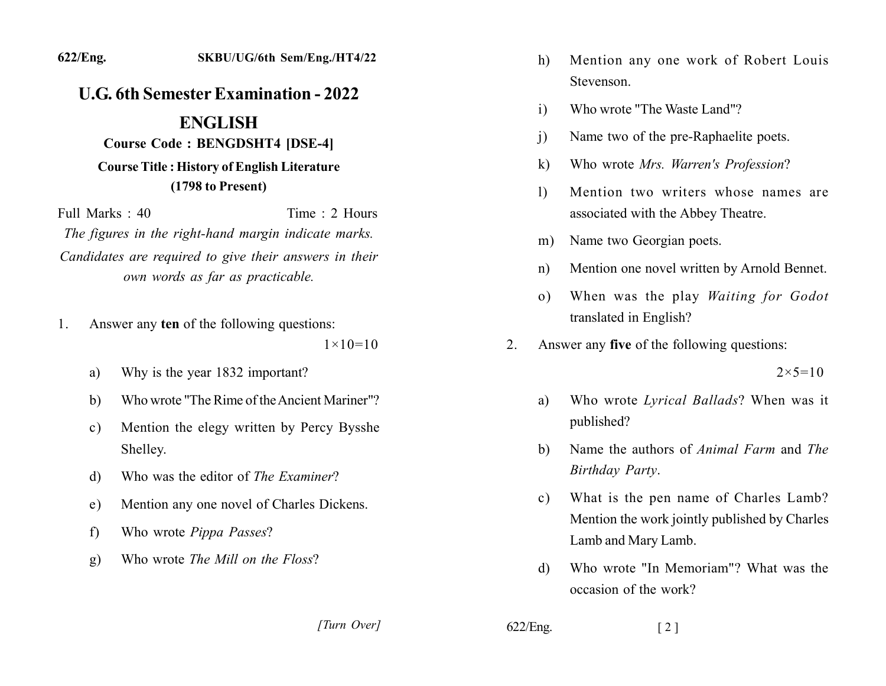### 622/Eng.

## **U.G. 6th Semester Examination - 2022**

# **ENGLISH**

#### **Course Code: BENGDSHT4 [DSE-4]**

## **Course Title: History of English Literature** (1798 to Present)

Time: 2 Hours Full Marks: 40 The figures in the right-hand margin indicate marks. Candidates are required to give their answers in their own words as far as practicable.

Answer any ten of the following questions: 1.

 $1 \times 10 = 10$ 

- Why is the year 1832 important? a)
- Who wrote "The Rime of the Ancient Mariner"? b)
- Mention the elegy written by Percy Bysshe  $\mathbf{c})$ Shelley.
- Who was the editor of *The Examiner*? d)
- Mention any one novel of Charles Dickens. e)
- Who wrote *Pippa Passes*?  $f$
- Who wrote *The Mill on the Floss*?  $g)$
- Mention any one work of Robert Louis h) Stevenson.
- Who wrote "The Waste Land"?  $\mathbf{i}$
- Name two of the pre-Raphaelite poets.  $\mathbf{i}$
- $\bf{k}$ ) Who wrote Mrs. Warren's Profession?
- Mention two writers whose names are  $\left| \right|$ associated with the Abbey Theatre.
- Name two Georgian poets.  $m)$
- Mention one novel written by Arnold Bennet.  $n)$
- When was the play Waiting for Godot  $\Omega$ ) translated in English?
- Answer any five of the following questions:  $2^{\circ}$

 $2 \times 5 = 10$ 

- Who wrote Lyrical Ballads? When was it a) published?
- Name the authors of Animal Farm and The b) Birthday Party.
- What is the pen name of Charles Lamb?  $c)$ Mention the work jointly published by Charles Lamb and Mary Lamb.
- Who wrote "In Memoriam"? What was the d) occasion of the work?

[Turn Over]

 $622/Eng.$